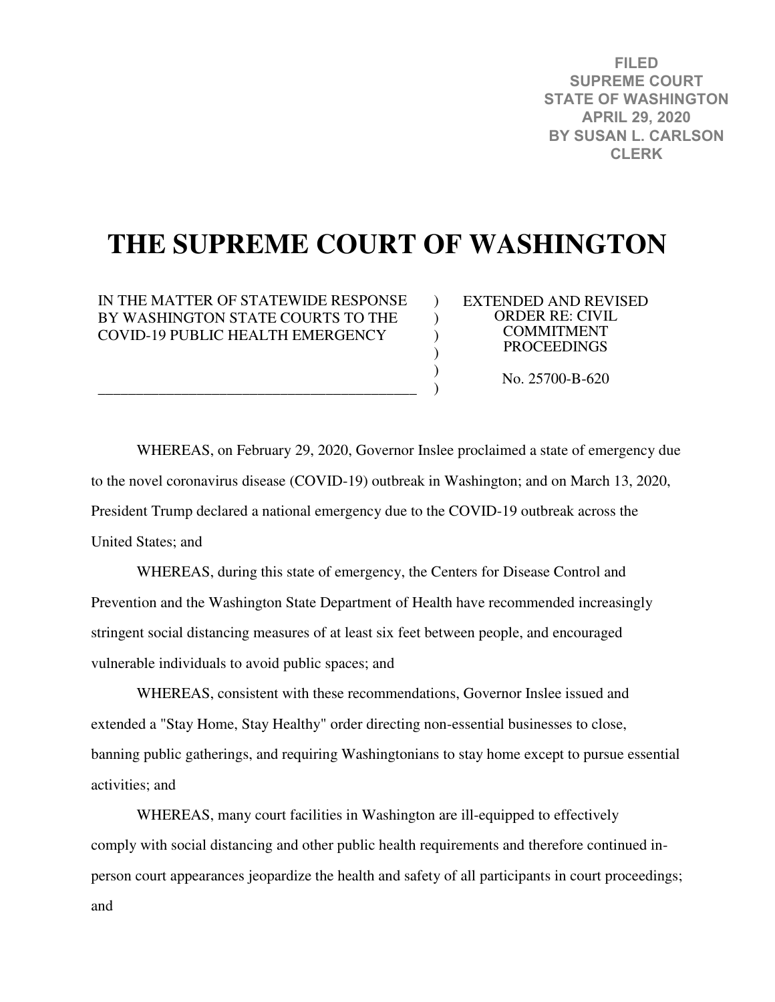**FILED SUPREME COURT STATE OF WASHINGTON APRIL 29, 2020 BY SUSAN L. CARLSON CLERK**

# **THE SUPREME COURT OF WASHINGTON**

 $\lambda$  $\lambda$  $\mathcal{L}$  $\mathcal{L}$  $\mathcal{L}$ )

IN THE MATTER OF STATEWIDE RESPONSE BY WASHINGTON STATE COURTS TO THE COVID-19 PUBLIC HEALTH EMERGENCY

\_\_\_\_\_\_\_\_\_\_\_\_\_\_\_\_\_\_\_\_\_\_\_\_\_\_\_\_\_\_\_\_\_\_\_\_\_\_\_\_\_\_

EXTENDED AND REVISED ORDER RE: CIVIL COMMITMENT PROCEEDINGS

No. 25700-B-620

WHEREAS, on February 29, 2020, Governor Inslee proclaimed a state of emergency due to the novel coronavirus disease (COVID-19) outbreak in Washington; and on March 13, 2020, President Trump declared a national emergency due to the COVID-19 outbreak across the United States; and

WHEREAS, during this state of emergency, the Centers for Disease Control and Prevention and the Washington State Department of Health have recommended increasingly stringent social distancing measures of at least six feet between people, and encouraged vulnerable individuals to avoid public spaces; and

WHEREAS, consistent with these recommendations, Governor Inslee issued and extended a "Stay Home, Stay Healthy" order directing non-essential businesses to close, banning public gatherings, and requiring Washingtonians to stay home except to pursue essential activities; and

WHEREAS, many court facilities in Washington are ill-equipped to effectively comply with social distancing and other public health requirements and therefore continued inperson court appearances jeopardize the health and safety of all participants in court proceedings; and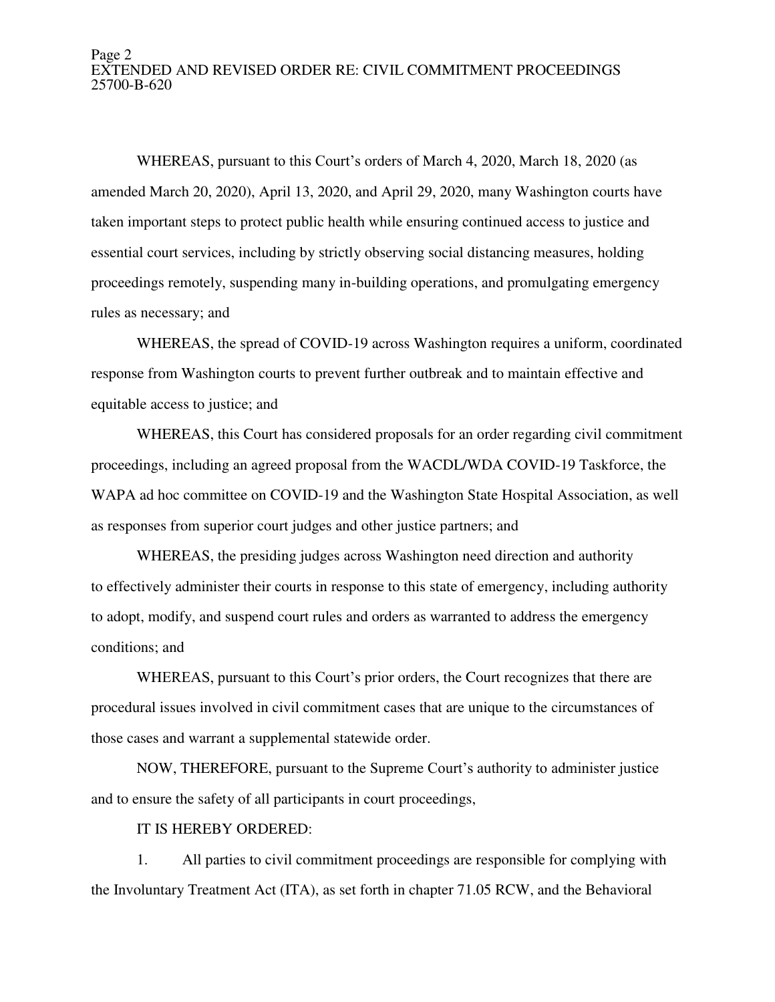#### Page 2 EXTENDED AND REVISED ORDER RE: CIVIL COMMITMENT PROCEEDINGS 25700-B-620

WHEREAS, pursuant to this Court's orders of March 4, 2020, March 18, 2020 (as amended March 20, 2020), April 13, 2020, and April 29, 2020, many Washington courts have taken important steps to protect public health while ensuring continued access to justice and essential court services, including by strictly observing social distancing measures, holding proceedings remotely, suspending many in-building operations, and promulgating emergency rules as necessary; and

WHEREAS, the spread of COVID-19 across Washington requires a uniform, coordinated response from Washington courts to prevent further outbreak and to maintain effective and equitable access to justice; and

WHEREAS, this Court has considered proposals for an order regarding civil commitment proceedings, including an agreed proposal from the WACDL/WDA COVID-19 Taskforce, the WAPA ad hoc committee on COVID-19 and the Washington State Hospital Association, as well as responses from superior court judges and other justice partners; and

WHEREAS, the presiding judges across Washington need direction and authority to effectively administer their courts in response to this state of emergency, including authority to adopt, modify, and suspend court rules and orders as warranted to address the emergency conditions; and

WHEREAS, pursuant to this Court's prior orders, the Court recognizes that there are procedural issues involved in civil commitment cases that are unique to the circumstances of those cases and warrant a supplemental statewide order.

NOW, THEREFORE, pursuant to the Supreme Court's authority to administer justice and to ensure the safety of all participants in court proceedings,

IT IS HEREBY ORDERED:

1. All parties to civil commitment proceedings are responsible for complying with the Involuntary Treatment Act (ITA), as set forth in chapter 71.05 RCW, and the Behavioral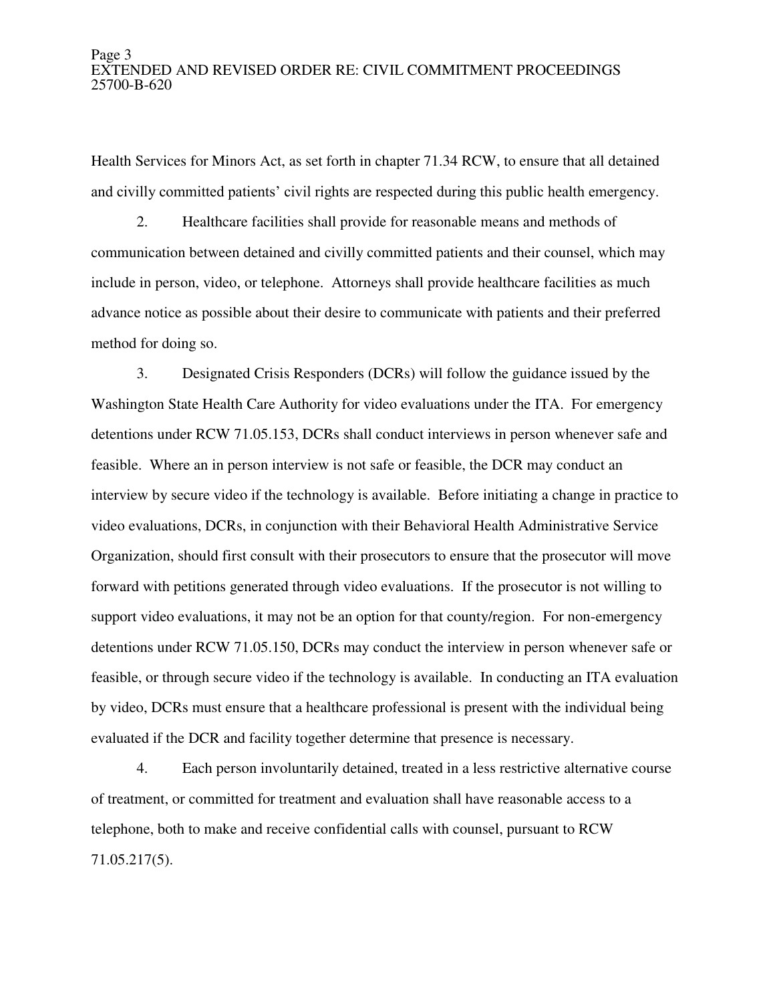### Page 3 EXTENDED AND REVISED ORDER RE: CIVIL COMMITMENT PROCEEDINGS 25700-B-620

Health Services for Minors Act, as set forth in chapter 71.34 RCW, to ensure that all detained and civilly committed patients' civil rights are respected during this public health emergency.

2. Healthcare facilities shall provide for reasonable means and methods of communication between detained and civilly committed patients and their counsel, which may include in person, video, or telephone. Attorneys shall provide healthcare facilities as much advance notice as possible about their desire to communicate with patients and their preferred method for doing so.

3. Designated Crisis Responders (DCRs) will follow the guidance issued by the Washington State Health Care Authority for video evaluations under the ITA. For emergency detentions under RCW 71.05.153, DCRs shall conduct interviews in person whenever safe and feasible. Where an in person interview is not safe or feasible, the DCR may conduct an interview by secure video if the technology is available. Before initiating a change in practice to video evaluations, DCRs, in conjunction with their Behavioral Health Administrative Service Organization, should first consult with their prosecutors to ensure that the prosecutor will move forward with petitions generated through video evaluations. If the prosecutor is not willing to support video evaluations, it may not be an option for that county/region. For non-emergency detentions under RCW 71.05.150, DCRs may conduct the interview in person whenever safe or feasible, or through secure video if the technology is available. In conducting an ITA evaluation by video, DCRs must ensure that a healthcare professional is present with the individual being evaluated if the DCR and facility together determine that presence is necessary.

4. Each person involuntarily detained, treated in a less restrictive alternative course of treatment, or committed for treatment and evaluation shall have reasonable access to a telephone, both to make and receive confidential calls with counsel, pursuant to RCW 71.05.217(5).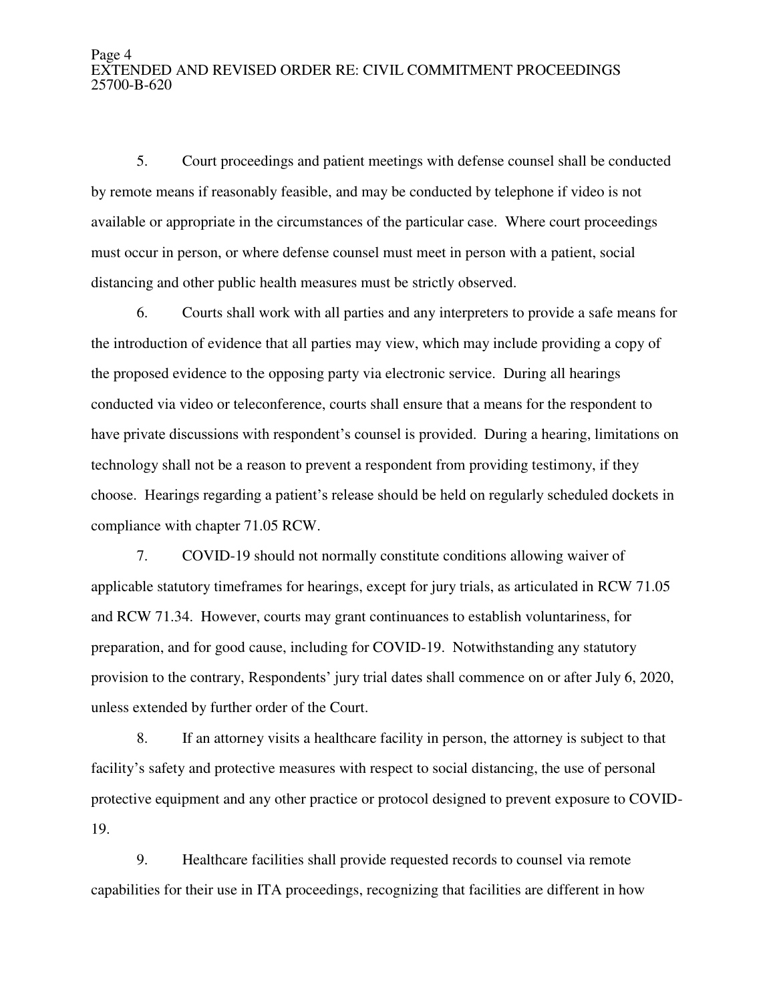#### Page 4 EXTENDED AND REVISED ORDER RE: CIVIL COMMITMENT PROCEEDINGS 25700-B-620

5. Court proceedings and patient meetings with defense counsel shall be conducted by remote means if reasonably feasible, and may be conducted by telephone if video is not available or appropriate in the circumstances of the particular case. Where court proceedings must occur in person, or where defense counsel must meet in person with a patient, social distancing and other public health measures must be strictly observed.

6. Courts shall work with all parties and any interpreters to provide a safe means for the introduction of evidence that all parties may view, which may include providing a copy of the proposed evidence to the opposing party via electronic service. During all hearings conducted via video or teleconference, courts shall ensure that a means for the respondent to have private discussions with respondent's counsel is provided. During a hearing, limitations on technology shall not be a reason to prevent a respondent from providing testimony, if they choose. Hearings regarding a patient's release should be held on regularly scheduled dockets in compliance with chapter 71.05 RCW.

7. COVID-19 should not normally constitute conditions allowing waiver of applicable statutory timeframes for hearings, except for jury trials, as articulated in RCW 71.05 and RCW 71.34. However, courts may grant continuances to establish voluntariness, for preparation, and for good cause, including for COVID-19. Notwithstanding any statutory provision to the contrary, Respondents' jury trial dates shall commence on or after July 6, 2020, unless extended by further order of the Court.

8. If an attorney visits a healthcare facility in person, the attorney is subject to that facility's safety and protective measures with respect to social distancing, the use of personal protective equipment and any other practice or protocol designed to prevent exposure to COVID-19.

9. Healthcare facilities shall provide requested records to counsel via remote capabilities for their use in ITA proceedings, recognizing that facilities are different in how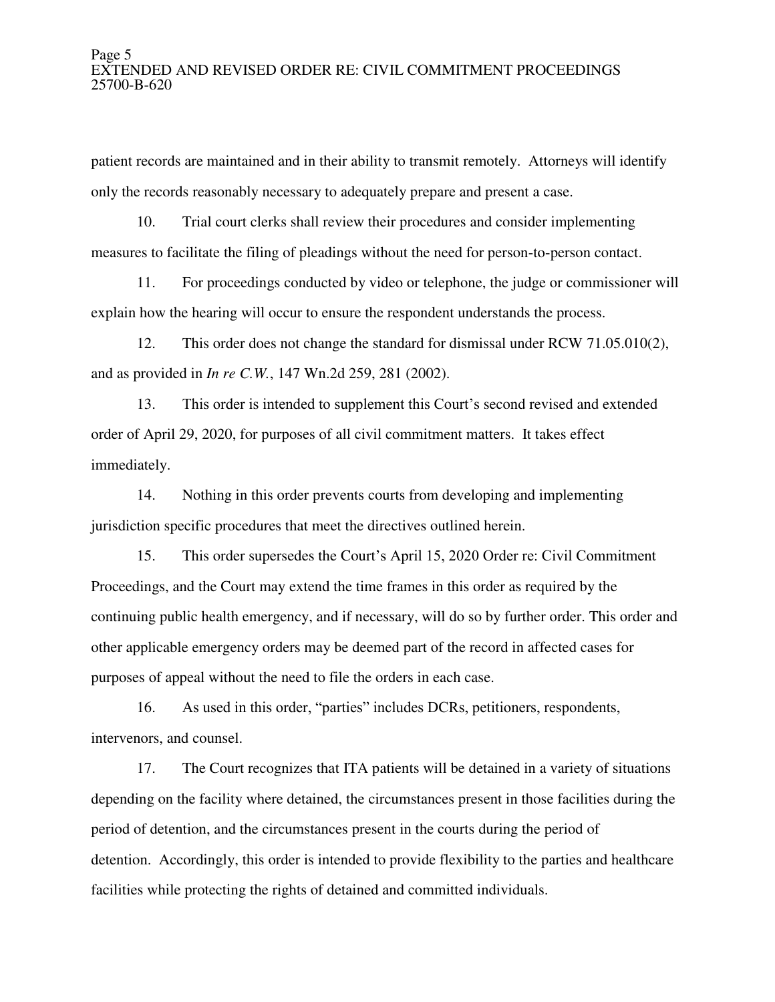#### Page 5 EXTENDED AND REVISED ORDER RE: CIVIL COMMITMENT PROCEEDINGS 25700-B-620

patient records are maintained and in their ability to transmit remotely. Attorneys will identify only the records reasonably necessary to adequately prepare and present a case.

10. Trial court clerks shall review their procedures and consider implementing measures to facilitate the filing of pleadings without the need for person-to-person contact.

11. For proceedings conducted by video or telephone, the judge or commissioner will explain how the hearing will occur to ensure the respondent understands the process.

12. This order does not change the standard for dismissal under RCW 71.05.010(2), and as provided in *In re C.W.*, 147 Wn.2d 259, 281 (2002).

13. This order is intended to supplement this Court's second revised and extended order of April 29, 2020, for purposes of all civil commitment matters. It takes effect immediately.

14. Nothing in this order prevents courts from developing and implementing jurisdiction specific procedures that meet the directives outlined herein.

15. This order supersedes the Court's April 15, 2020 Order re: Civil Commitment Proceedings, and the Court may extend the time frames in this order as required by the continuing public health emergency, and if necessary, will do so by further order. This order and other applicable emergency orders may be deemed part of the record in affected cases for purposes of appeal without the need to file the orders in each case.

16. As used in this order, "parties" includes DCRs, petitioners, respondents, intervenors, and counsel.

17. The Court recognizes that ITA patients will be detained in a variety of situations depending on the facility where detained, the circumstances present in those facilities during the period of detention, and the circumstances present in the courts during the period of detention. Accordingly, this order is intended to provide flexibility to the parties and healthcare facilities while protecting the rights of detained and committed individuals.